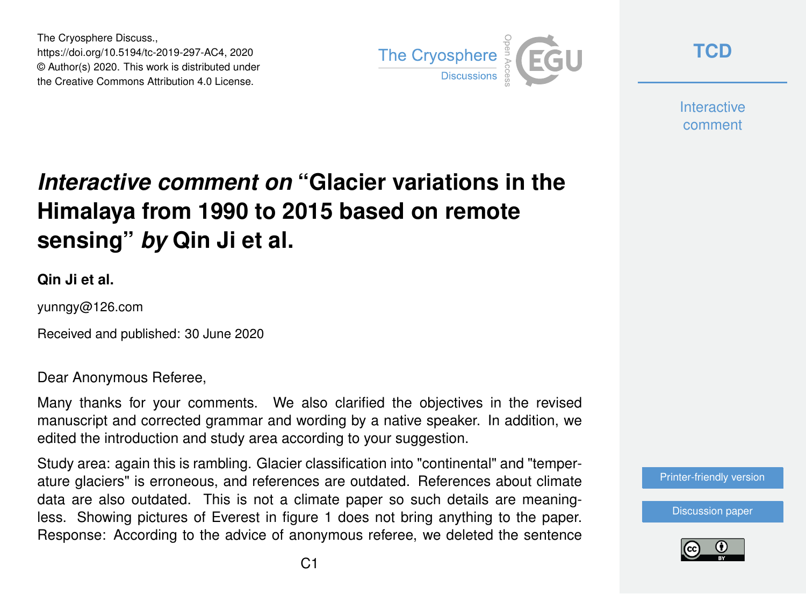The Cryosphere Discuss., https://doi.org/10.5194/tc-2019-297-AC4, 2020 © Author(s) 2020. This work is distributed under the Creative Commons Attribution 4.0 License.



**[TCD](https://tc.copernicus.org/preprints/)**

**Interactive** comment

## *Interactive comment on* **"Glacier variations in the Himalaya from 1990 to 2015 based on remote sensing"** *by* **Qin Ji et al.**

**Qin Ji et al.**

yunngy@126.com

Received and published: 30 June 2020

Dear Anonymous Referee,

Many thanks for your comments. We also clarified the objectives in the revised manuscript and corrected grammar and wording by a native speaker. In addition, we edited the introduction and study area according to your suggestion.

Study area: again this is rambling. Glacier classification into "continental" and "temperature glaciers" is erroneous, and references are outdated. References about climate data are also outdated. This is not a climate paper so such details are meaningless. Showing pictures of Everest in figure 1 does not bring anything to the paper. Response: According to the advice of anonymous referee, we deleted the sentence

[Printer-friendly version](https://tc.copernicus.org/preprints/tc-2019-297/tc-2019-297-AC4-print.pdf)

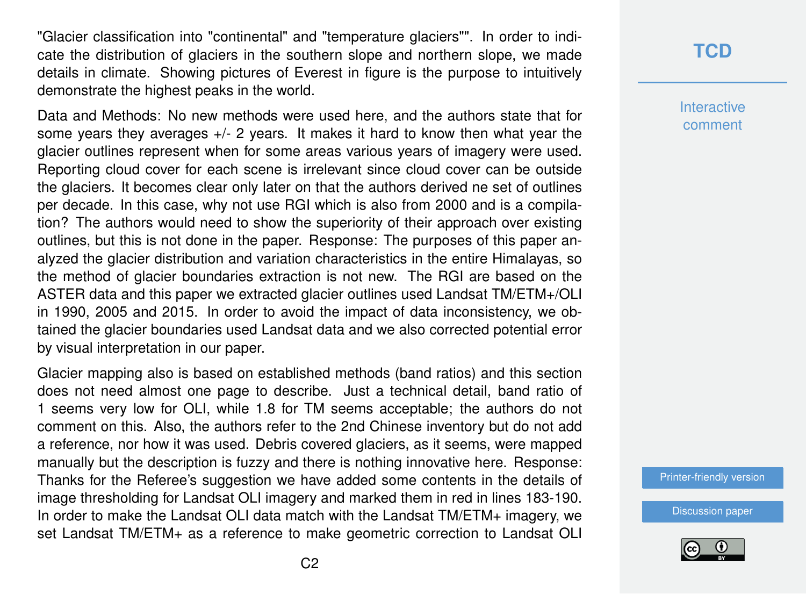"Glacier classification into "continental" and "temperature glaciers"". In order to indicate the distribution of glaciers in the southern slope and northern slope, we made details in climate. Showing pictures of Everest in figure is the purpose to intuitively demonstrate the highest peaks in the world.

Data and Methods: No new methods were used here, and the authors state that for some years they averages  $+/-$  2 years. It makes it hard to know then what year the glacier outlines represent when for some areas various years of imagery were used. Reporting cloud cover for each scene is irrelevant since cloud cover can be outside the glaciers. It becomes clear only later on that the authors derived ne set of outlines per decade. In this case, why not use RGI which is also from 2000 and is a compilation? The authors would need to show the superiority of their approach over existing outlines, but this is not done in the paper. Response: The purposes of this paper analyzed the glacier distribution and variation characteristics in the entire Himalayas, so the method of glacier boundaries extraction is not new. The RGI are based on the ASTER data and this paper we extracted glacier outlines used Landsat TM/ETM+/OLI in 1990, 2005 and 2015. In order to avoid the impact of data inconsistency, we obtained the glacier boundaries used Landsat data and we also corrected potential error by visual interpretation in our paper.

Glacier mapping also is based on established methods (band ratios) and this section does not need almost one page to describe. Just a technical detail, band ratio of 1 seems very low for OLI, while 1.8 for TM seems acceptable; the authors do not comment on this. Also, the authors refer to the 2nd Chinese inventory but do not add a reference, nor how it was used. Debris covered glaciers, as it seems, were mapped manually but the description is fuzzy and there is nothing innovative here. Response: Thanks for the Referee's suggestion we have added some contents in the details of image thresholding for Landsat OLI imagery and marked them in red in lines 183-190. In order to make the Landsat OLI data match with the Landsat TM/ETM+ imagery, we set Landsat TM/ETM+ as a reference to make geometric correction to Landsat OLI

## **[TCD](https://tc.copernicus.org/preprints/)**

**Interactive** comment

[Printer-friendly version](https://tc.copernicus.org/preprints/tc-2019-297/tc-2019-297-AC4-print.pdf)

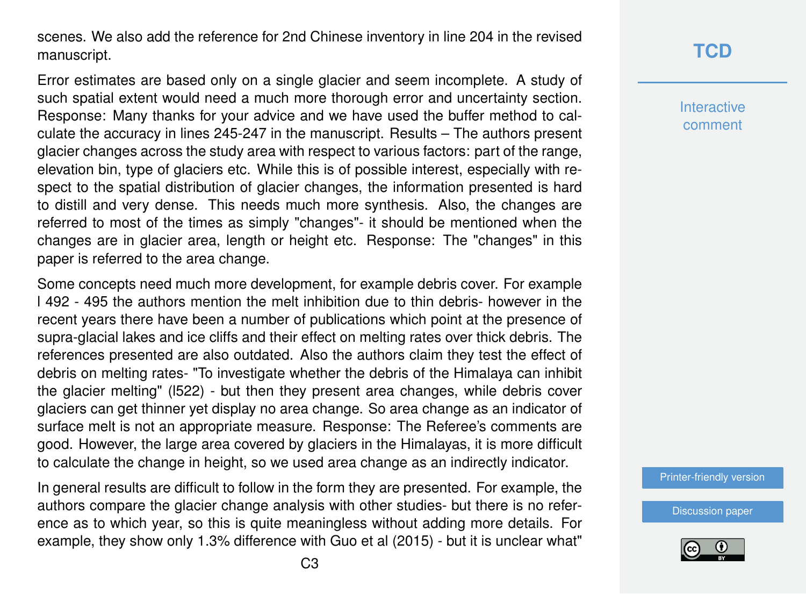scenes. We also add the reference for 2nd Chinese inventory in line 204 in the revised manuscript.

Error estimates are based only on a single glacier and seem incomplete. A study of such spatial extent would need a much more thorough error and uncertainty section. Response: Many thanks for your advice and we have used the buffer method to calculate the accuracy in lines 245-247 in the manuscript. Results – The authors present glacier changes across the study area with respect to various factors: part of the range, elevation bin, type of glaciers etc. While this is of possible interest, especially with respect to the spatial distribution of glacier changes, the information presented is hard to distill and very dense. This needs much more synthesis. Also, the changes are referred to most of the times as simply "changes"- it should be mentioned when the changes are in glacier area, length or height etc. Response: The "changes" in this paper is referred to the area change.

Some concepts need much more development, for example debris cover. For example l 492 - 495 the authors mention the melt inhibition due to thin debris- however in the recent years there have been a number of publications which point at the presence of supra-glacial lakes and ice cliffs and their effect on melting rates over thick debris. The references presented are also outdated. Also the authors claim they test the effect of debris on melting rates- "To investigate whether the debris of the Himalaya can inhibit the glacier melting" (l522) - but then they present area changes, while debris cover glaciers can get thinner yet display no area change. So area change as an indicator of surface melt is not an appropriate measure. Response: The Referee's comments are good. However, the large area covered by glaciers in the Himalayas, it is more difficult to calculate the change in height, so we used area change as an indirectly indicator.

In general results are difficult to follow in the form they are presented. For example, the authors compare the glacier change analysis with other studies- but there is no reference as to which year, so this is quite meaningless without adding more details. For example, they show only 1.3% difference with Guo et al (2015) - but it is unclear what"

## **[TCD](https://tc.copernicus.org/preprints/)**

**Interactive** comment

[Printer-friendly version](https://tc.copernicus.org/preprints/tc-2019-297/tc-2019-297-AC4-print.pdf)